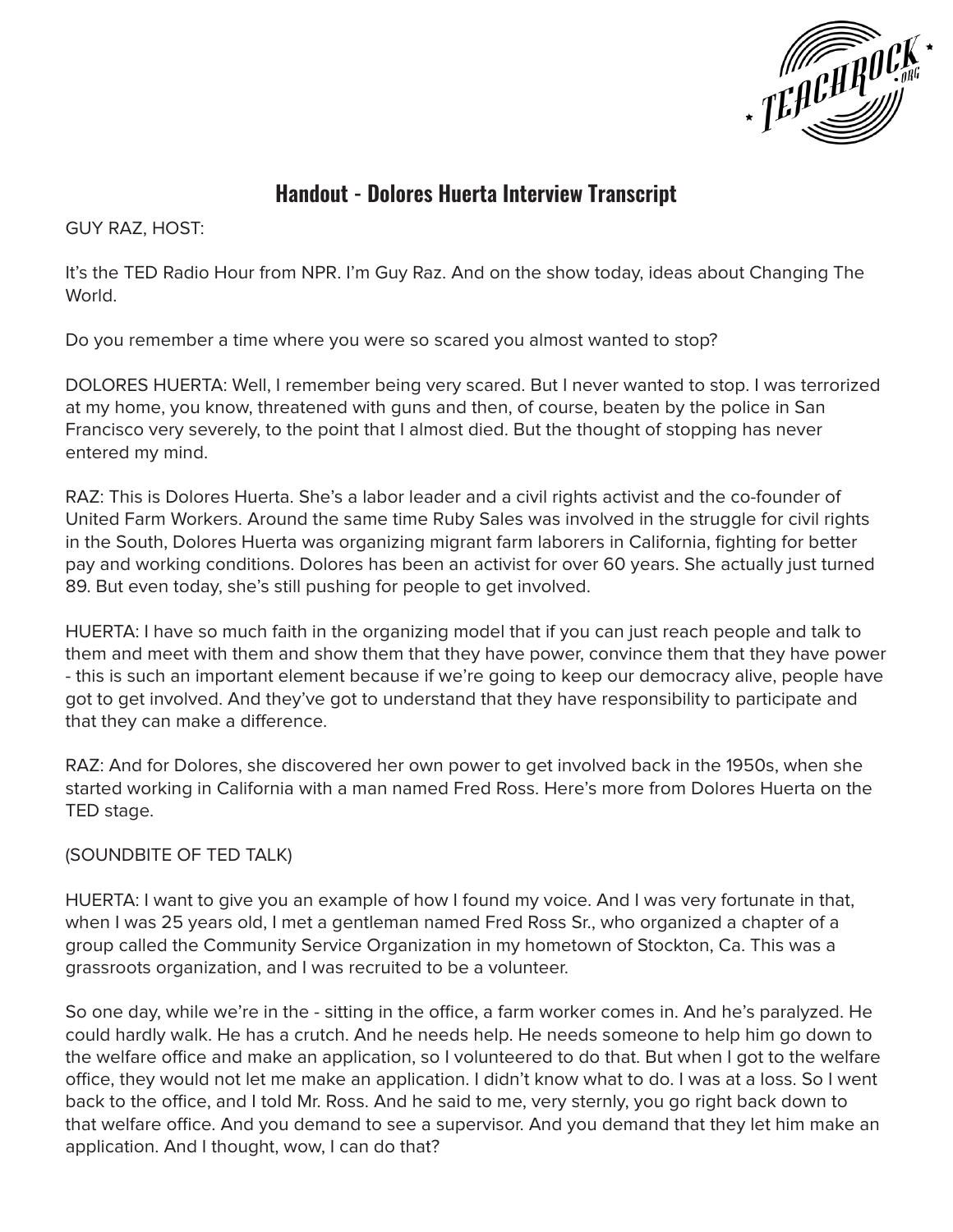

# **Handout - Dolores Huerta Interview Transcript**

GUY RAZ, HOST:

It's the TED Radio Hour from NPR. I'm Guy Raz. And on the show today, ideas about Changing The World.

Do you remember a time where you were so scared you almost wanted to stop?

DOLORES HUERTA: Well, I remember being very scared. But I never wanted to stop. I was terrorized at my home, you know, threatened with guns and then, of course, beaten by the police in San Francisco very severely, to the point that I almost died. But the thought of stopping has never entered my mind.

RAZ: This is Dolores Huerta. She's a labor leader and a civil rights activist and the co-founder of United Farm Workers. Around the same time Ruby Sales was involved in the struggle for civil rights in the South, Dolores Huerta was organizing migrant farm laborers in California, fighting for better pay and working conditions. Dolores has been an activist for over 60 years. She actually just turned 89. But even today, she's still pushing for people to get involved.

HUERTA: I have so much faith in the organizing model that if you can just reach people and talk to them and meet with them and show them that they have power, convince them that they have power - this is such an important element because if we're going to keep our democracy alive, people have got to get involved. And they've got to understand that they have responsibility to participate and that they can make a difference.

RAZ: And for Dolores, she discovered her own power to get involved back in the 1950s, when she started working in California with a man named Fred Ross. Here's more from Dolores Huerta on the TED stage.

(SOUNDBITE OF TED TALK)

HUERTA: I want to give you an example of how I found my voice. And I was very fortunate in that, when I was 25 years old, I met a gentleman named Fred Ross Sr., who organized a chapter of a group called the Community Service Organization in my hometown of Stockton, Ca. This was a grassroots organization, and I was recruited to be a volunteer.

So one day, while we're in the - sitting in the office, a farm worker comes in. And he's paralyzed. He could hardly walk. He has a crutch. And he needs help. He needs someone to help him go down to the welfare office and make an application, so I volunteered to do that. But when I got to the welfare office, they would not let me make an application. I didn't know what to do. I was at a loss. So I went back to the office, and I told Mr. Ross. And he said to me, very sternly, you go right back down to that welfare office. And you demand to see a supervisor. And you demand that they let him make an application. And I thought, wow, I can do that?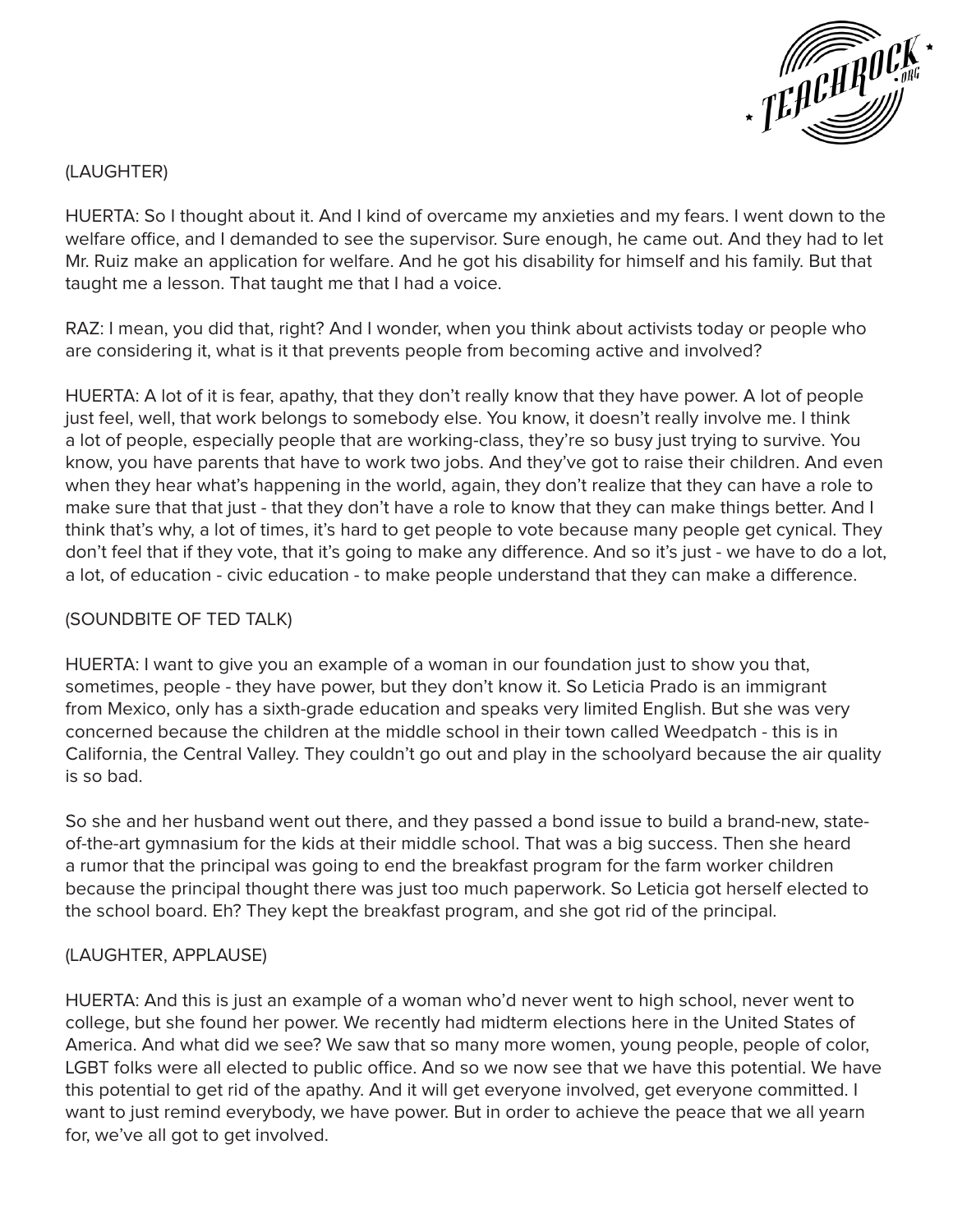

# (LAUGHTER)

HUERTA: So I thought about it. And I kind of overcame my anxieties and my fears. I went down to the welfare office, and I demanded to see the supervisor. Sure enough, he came out. And they had to let Mr. Ruiz make an application for welfare. And he got his disability for himself and his family. But that taught me a lesson. That taught me that I had a voice.

RAZ: I mean, you did that, right? And I wonder, when you think about activists today or people who are considering it, what is it that prevents people from becoming active and involved?

HUERTA: A lot of it is fear, apathy, that they don't really know that they have power. A lot of people just feel, well, that work belongs to somebody else. You know, it doesn't really involve me. I think a lot of people, especially people that are working-class, they're so busy just trying to survive. You know, you have parents that have to work two jobs. And they've got to raise their children. And even when they hear what's happening in the world, again, they don't realize that they can have a role to make sure that that just - that they don't have a role to know that they can make things better. And I think that's why, a lot of times, it's hard to get people to vote because many people get cynical. They don't feel that if they vote, that it's going to make any difference. And so it's just - we have to do a lot, a lot, of education - civic education - to make people understand that they can make a difference.

## (SOUNDBITE OF TED TALK)

HUERTA: I want to give you an example of a woman in our foundation just to show you that, sometimes, people - they have power, but they don't know it. So Leticia Prado is an immigrant from Mexico, only has a sixth-grade education and speaks very limited English. But she was very concerned because the children at the middle school in their town called Weedpatch - this is in California, the Central Valley. They couldn't go out and play in the schoolyard because the air quality is so bad.

So she and her husband went out there, and they passed a bond issue to build a brand-new, stateof-the-art gymnasium for the kids at their middle school. That was a big success. Then she heard a rumor that the principal was going to end the breakfast program for the farm worker children because the principal thought there was just too much paperwork. So Leticia got herself elected to the school board. Eh? They kept the breakfast program, and she got rid of the principal.

#### (LAUGHTER, APPLAUSE)

HUERTA: And this is just an example of a woman who'd never went to high school, never went to college, but she found her power. We recently had midterm elections here in the United States of America. And what did we see? We saw that so many more women, young people, people of color, LGBT folks were all elected to public office. And so we now see that we have this potential. We have this potential to get rid of the apathy. And it will get everyone involved, get everyone committed. I want to just remind everybody, we have power. But in order to achieve the peace that we all yearn for, we've all got to get involved.